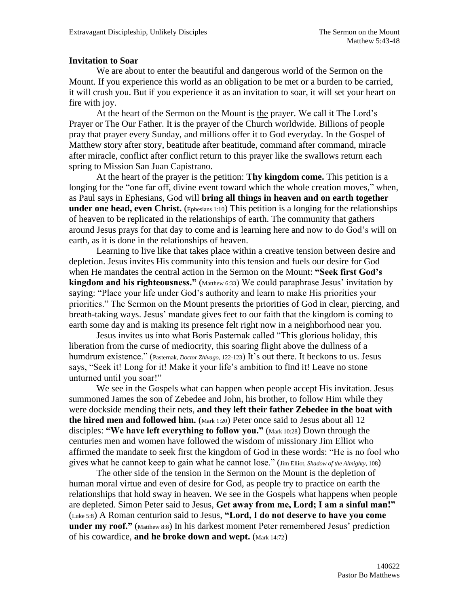## **Invitation to Soar**

We are about to enter the beautiful and dangerous world of the Sermon on the Mount. If you experience this world as an obligation to be met or a burden to be carried, it will crush you. But if you experience it as an invitation to soar, it will set your heart on fire with joy.

At the heart of the Sermon on the Mount is the prayer. We call it The Lord's Prayer or The Our Father. It is the prayer of the Church worldwide. Billions of people pray that prayer every Sunday, and millions offer it to God everyday. In the Gospel of Matthew story after story, beatitude after beatitude, command after command, miracle after miracle, conflict after conflict return to this prayer like the swallows return each spring to Mission San Juan Capistrano.

At the heart of the prayer is the petition: **Thy kingdom come.** This petition is a longing for the "one far off, divine event toward which the whole creation moves," when, as Paul says in Ephesians, God will **bring all things in heaven and on earth together under one head, even Christ.** (Ephesians 1:10) This petition is a longing for the relationships of heaven to be replicated in the relationships of earth. The community that gathers around Jesus prays for that day to come and is learning here and now to do God's will on earth, as it is done in the relationships of heaven.

Learning to live like that takes place within a creative tension between desire and depletion. Jesus invites His community into this tension and fuels our desire for God when He mandates the central action in the Sermon on the Mount: **"Seek first God's kingdom and his righteousness."** (Matthew 6:33) We could paraphrase Jesus' invitation by saying: "Place your life under God's authority and learn to make His priorities your priorities." The Sermon on the Mount presents the priorities of God in clear, piercing, and breath-taking ways. Jesus' mandate gives feet to our faith that the kingdom is coming to earth some day and is making its presence felt right now in a neighborhood near you.

Jesus invites us into what Boris Pasternak called "This glorious holiday, this liberation from the curse of mediocrity, this soaring flight above the dullness of a humdrum existence." (Pasternak, *Doctor Zhivago*, 122-123) It's out there. It beckons to us. Jesus says, "Seek it! Long for it! Make it your life's ambition to find it! Leave no stone unturned until you soar!"

We see in the Gospels what can happen when people accept His invitation. Jesus summoned James the son of Zebedee and John, his brother, to follow Him while they were dockside mending their nets, **and they left their father Zebedee in the boat with the hired men and followed him.** (Mark 1:20) Peter once said to Jesus about all 12 disciples: **"We have left everything to follow you."** (Mark 10:28) Down through the centuries men and women have followed the wisdom of missionary Jim Elliot who affirmed the mandate to seek first the kingdom of God in these words: "He is no fool who gives what he cannot keep to gain what he cannot lose." (Jim Elliot, *Shadow of the Almighty*, 108)

The other side of the tension in the Sermon on the Mount is the depletion of human moral virtue and even of desire for God, as people try to practice on earth the relationships that hold sway in heaven. We see in the Gospels what happens when people are depleted. Simon Peter said to Jesus, **Get away from me, Lord; I am a sinful man!"** (Luke 5:8) A Roman centurion said to Jesus, **"Lord, I do not deserve to have you come under my roof."** (Matthew 8:8) In his darkest moment Peter remembered Jesus' prediction of his cowardice, **and he broke down and wept.** (Mark 14:72)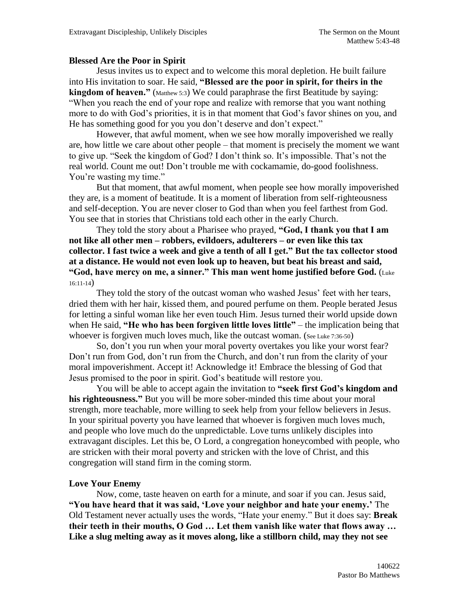## **Blessed Are the Poor in Spirit**

Jesus invites us to expect and to welcome this moral depletion. He built failure into His invitation to soar. He said, **"Blessed are the poor in spirit, for theirs in the kingdom of heaven."** (Matthew 5:3) We could paraphrase the first Beatitude by saying: "When you reach the end of your rope and realize with remorse that you want nothing more to do with God's priorities, it is in that moment that God's favor shines on you, and He has something good for you you don't deserve and don't expect."

However, that awful moment, when we see how morally impoverished we really are, how little we care about other people – that moment is precisely the moment we want to give up. "Seek the kingdom of God? I don't think so. It's impossible. That's not the real world. Count me out! Don't trouble me with cockamamie, do-good foolishness. You're wasting my time."

But that moment, that awful moment, when people see how morally impoverished they are, is a moment of beatitude. It is a moment of liberation from self-righteousness and self-deception. You are never closer to God than when you feel farthest from God. You see that in stories that Christians told each other in the early Church.

They told the story about a Pharisee who prayed, **"God, I thank you that I am not like all other men – robbers, evildoers, adulterers – or even like this tax collector. I fast twice a week and give a tenth of all I get." But the tax collector stood at a distance. He would not even look up to heaven, but beat his breast and said, "God, have mercy on me, a sinner." This man went home justified before God.** (Luke 16:11-14)

They told the story of the outcast woman who washed Jesus' feet with her tears, dried them with her hair, kissed them, and poured perfume on them. People berated Jesus for letting a sinful woman like her even touch Him. Jesus turned their world upside down when He said, **"He who has been forgiven little loves little"** – the implication being that whoever is forgiven much loves much, like the outcast woman. (See Luke 7:36-50)

So, don't you run when your moral poverty overtakes you like your worst fear? Don't run from God, don't run from the Church, and don't run from the clarity of your moral impoverishment. Accept it! Acknowledge it! Embrace the blessing of God that Jesus promised to the poor in spirit. God's beatitude will restore you.

You will be able to accept again the invitation to **"seek first God's kingdom and his righteousness."** But you will be more sober-minded this time about your moral strength, more teachable, more willing to seek help from your fellow believers in Jesus. In your spiritual poverty you have learned that whoever is forgiven much loves much, and people who love much do the unpredictable. Love turns unlikely disciples into extravagant disciples. Let this be, O Lord, a congregation honeycombed with people, who are stricken with their moral poverty and stricken with the love of Christ, and this congregation will stand firm in the coming storm.

## **Love Your Enemy**

Now, come, taste heaven on earth for a minute, and soar if you can. Jesus said, **"You have heard that it was said, 'Love your neighbor and hate your enemy.'** The Old Testament never actually uses the words, "Hate your enemy." But it does say: **Break their teeth in their mouths, O God … Let them vanish like water that flows away … Like a slug melting away as it moves along, like a stillborn child, may they not see**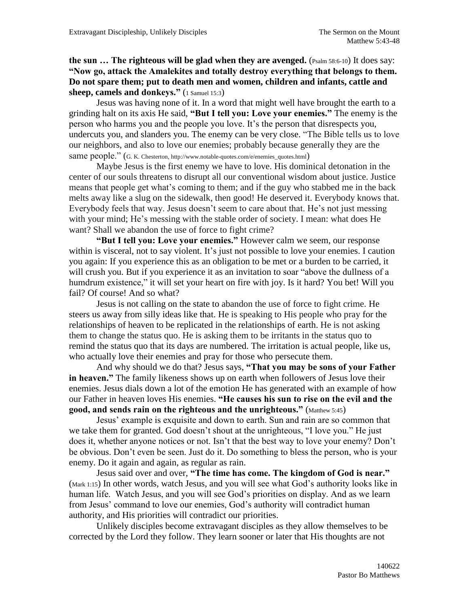**the sun ... The righteous will be glad when they are avenged.** (Psalm 58:6-10) It does say: **"Now go, attack the Amalekites and totally destroy everything that belongs to them. Do not spare them; put to death men and women, children and infants, cattle and sheep, camels and donkeys."** (1 Samuel 15:3)

Jesus was having none of it. In a word that might well have brought the earth to a grinding halt on its axis He said, **"But I tell you: Love your enemies."** The enemy is the person who harms you and the people you love. It's the person that disrespects you, undercuts you, and slanders you. The enemy can be very close. "The Bible tells us to love our neighbors, and also to love our enemies; probably because generally they are the same people." (G. K. Chesterton, http://www.notable-quotes.com/e/enemies\_quotes.html)

Maybe Jesus is the first enemy we have to love. His dominical detonation in the center of our souls threatens to disrupt all our conventional wisdom about justice. Justice means that people get what's coming to them; and if the guy who stabbed me in the back melts away like a slug on the sidewalk, then good! He deserved it. Everybody knows that. Everybody feels that way. Jesus doesn't seem to care about that. He's not just messing with your mind; He's messing with the stable order of society. I mean: what does He want? Shall we abandon the use of force to fight crime?

**"But I tell you: Love your enemies."** However calm we seem, our response within is visceral, not to say violent. It's just not possible to love your enemies. I caution you again: If you experience this as an obligation to be met or a burden to be carried, it will crush you. But if you experience it as an invitation to soar "above the dullness of a humdrum existence," it will set your heart on fire with joy. Is it hard? You bet! Will you fail? Of course! And so what?

Jesus is not calling on the state to abandon the use of force to fight crime. He steers us away from silly ideas like that. He is speaking to His people who pray for the relationships of heaven to be replicated in the relationships of earth. He is not asking them to change the status quo. He is asking them to be irritants in the status quo to remind the status quo that its days are numbered. The irritation is actual people, like us, who actually love their enemies and pray for those who persecute them.

And why should we do that? Jesus says, **"That you may be sons of your Father in heaven."** The family likeness shows up on earth when followers of Jesus love their enemies. Jesus dials down a lot of the emotion He has generated with an example of how our Father in heaven loves His enemies. **"He causes his sun to rise on the evil and the good, and sends rain on the righteous and the unrighteous."** (Matthew 5:45)

Jesus' example is exquisite and down to earth. Sun and rain are so common that we take them for granted. God doesn't shout at the unrighteous, "I love you." He just does it, whether anyone notices or not. Isn't that the best way to love your enemy? Don't be obvious. Don't even be seen. Just do it. Do something to bless the person, who is your enemy. Do it again and again, as regular as rain.

Jesus said over and over, **"The time has come. The kingdom of God is near."** (Mark 1:15) In other words, watch Jesus, and you will see what God's authority looks like in human life. Watch Jesus, and you will see God's priorities on display. And as we learn from Jesus' command to love our enemies, God's authority will contradict human authority, and His priorities will contradict our priorities.

Unlikely disciples become extravagant disciples as they allow themselves to be corrected by the Lord they follow. They learn sooner or later that His thoughts are not